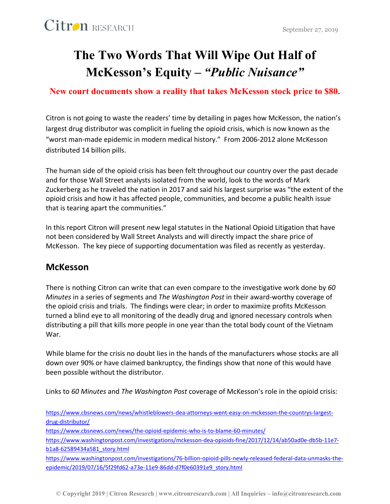## **The Two Words That Will Wipe Out Half of McKesson's Equity –** *"Public Nuisance"*

#### **New court documents show a reality that takes McKesson stock price to \$80.**

Citron is not going to waste the readers' time by detailing in pages how McKesson, the nation's largest drug distributor was complicit in fueling the opioid crisis, which is now known as the "worst man-made epidemic in modern medical history." From 2006-2012 alone McKesson distributed 14 billion pills.

The human side of the opioid crisis has been felt throughout our country over the past decade and for those Wall Street analysts isolated from the world, look to the words of Mark Zuckerberg as he traveled the nation in 2017 and said his largest surprise was "the extent of the opioid crisis and how it has affected people, communities, and become a public health issue that is tearing apart the communities."

In this report Citron will present new legal statutes in the National Opioid Litigation that have not been considered by Wall Street Analysts and will directly impact the share price of McKesson. The key piece of supporting documentation was filed as recently as yesterday.

#### **McKesson**

There is nothing Citron can write that can even compare to the investigative work done by *60 Minutes* in a series of segments and *The Washington Post* in their award-worthy coverage of the opioid crisis and trials. The findings were clear; in order to maximize profits McKesson turned a blind eye to all monitoring of the deadly drug and ignored necessary controls when distributing a pill that kills more people in one year than the total body count of the Vietnam War.

While blame for the crisis no doubt lies in the hands of the manufacturers whose stocks are all down over 90% or have claimed bankruptcy, the findings show that none of this would have been possible without the distributor.

Links to *60 Minutes* and *The Washington Post* coverage of McKesson's role in the opioid crisis:

[https://www.cbsnews.com/news/whistleblowers-dea-attorneys-went-easy-on-mckesson-the-countrys-largest](https://www.cbsnews.com/news/whistleblowers-dea-attorneys-went-easy-on-mckesson-the-countrys-largest-drug-distributor/)[drug-distributor/](https://www.cbsnews.com/news/whistleblowers-dea-attorneys-went-easy-on-mckesson-the-countrys-largest-drug-distributor/)

<https://www.cbsnews.com/news/the-opioid-epidemic-who-is-to-blame-60-minutes/>

[https://www.washingtonpost.com/investigations/mckesson-dea-opioids-fine/2017/12/14/ab50ad0e-db5b-11e7](https://www.washingtonpost.com/investigations/mckesson-dea-opioids-fine/2017/12/14/ab50ad0e-db5b-11e7-b1a8-62589434a581_story.html) [b1a8-62589434a581\\_story.html](https://www.washingtonpost.com/investigations/mckesson-dea-opioids-fine/2017/12/14/ab50ad0e-db5b-11e7-b1a8-62589434a581_story.html)

[https://www.washingtonpost.com/investigations/76-billion-opioid-pills-newly-released-federal-data-unmasks-the](https://www.washingtonpost.com/investigations/76-billion-opioid-pills-newly-released-federal-data-unmasks-the-epidemic/2019/07/16/5f29fd62-a73e-11e9-86dd-d7f0e60391e9_story.html)[epidemic/2019/07/16/5f29fd62-a73e-11e9-86dd-d7f0e60391e9\\_story.html](https://www.washingtonpost.com/investigations/76-billion-opioid-pills-newly-released-federal-data-unmasks-the-epidemic/2019/07/16/5f29fd62-a73e-11e9-86dd-d7f0e60391e9_story.html)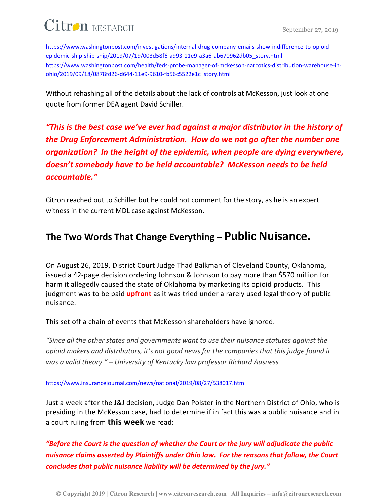[https://www.washingtonpost.com/investigations/internal-drug-company-emails-show-indifference-to-opioid](https://www.washingtonpost.com/investigations/internal-drug-company-emails-show-indifference-to-opioid-epidemic-ship-ship-ship/2019/07/19/003d58f6-a993-11e9-a3a6-ab670962db05_story.html)[epidemic-ship-ship-ship/2019/07/19/003d58f6-a993-11e9-a3a6-ab670962db05\\_story.html](https://www.washingtonpost.com/investigations/internal-drug-company-emails-show-indifference-to-opioid-epidemic-ship-ship-ship/2019/07/19/003d58f6-a993-11e9-a3a6-ab670962db05_story.html) [https://www.washingtonpost.com/health/feds-probe-manager-of-mckesson-narcotics-distribution-warehouse-in](https://www.washingtonpost.com/health/feds-probe-manager-of-mckesson-narcotics-distribution-warehouse-in-ohio/2019/09/18/0878fd26-d644-11e9-9610-fb56c5522e1c_story.html)[ohio/2019/09/18/0878fd26-d644-11e9-9610-fb56c5522e1c\\_story.html](https://www.washingtonpost.com/health/feds-probe-manager-of-mckesson-narcotics-distribution-warehouse-in-ohio/2019/09/18/0878fd26-d644-11e9-9610-fb56c5522e1c_story.html)

Without rehashing all of the details about the lack of controls at McKesson, just look at one quote from former DEA agent David Schiller.

*"This is the best case we've ever had against a major distributor in the history of the Drug Enforcement Administration. How do we not go after the number one organization? In the height of the epidemic, when people are dying everywhere, doesn't somebody have to be held accountable? McKesson needs to be held accountable."*

Citron reached out to Schiller but he could not comment for the story, as he is an expert witness in the current MDL case against McKesson.

### **The Two Words That Change Everything – Public Nuisance.**

On August 26, 2019, District Court Judge Thad Balkman of Cleveland County, Oklahoma, issued a 42-page decision ordering Johnson & Johnson to pay more than \$570 million for harm it allegedly caused the state of Oklahoma by marketing its opioid products. This judgment was to be paid **upfront** as it was tried under a rarely used legal theory of public nuisance.

This set off a chain of events that McKesson shareholders have ignored.

*"Since all the other states and governments want to use their nuisance statutes against the opioid makers and distributors, it's not good news for the companies that this judge found it was a valid theory." – University of Kentucky law professor Richard Ausness* 

<https://www.insurancejournal.com/news/national/2019/08/27/538017.htm>

Just a week after the J&J decision, Judge Dan Polster in the Northern District of Ohio, who is presiding in the McKesson case, had to determine if in fact this was a public nuisance and in a court ruling from **this week** we read:

*"Before the Court is the question of whether the Court or the jury will adjudicate the public nuisance claims asserted by Plaintiffs under Ohio law. For the reasons that follow, the Court concludes that public nuisance liability will be determined by the jury."*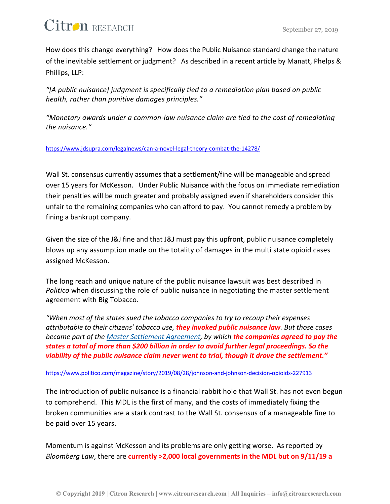How does this change everything? How does the Public Nuisance standard change the nature of the inevitable settlement or judgment? As described in a recent article by Manatt, Phelps & Phillips, LLP:

*"[A public nuisance] judgment is specifically tied to a remediation plan based on public health, rather than punitive damages principles."*

*"Monetary awards under a common-law nuisance claim are tied to the cost of remediating the nuisance."*

#### <https://www.jdsupra.com/legalnews/can-a-novel-legal-theory-combat-the-14278/>

Wall St. consensus currently assumes that a settlement/fine will be manageable and spread over 15 years for McKesson. Under Public Nuisance with the focus on immediate remediation their penalties will be much greater and probably assigned even if shareholders consider this unfair to the remaining companies who can afford to pay. You cannot remedy a problem by fining a bankrupt company.

Given the size of the J&J fine and that J&J must pay this upfront, public nuisance completely blows up any assumption made on the totality of damages in the multi state opioid cases assigned McKesson.

The long reach and unique nature of the public nuisance lawsuit was best described in *Politico* when discussing the role of public nuisance in negotiating the master settlement agreement with Big Tobacco.

*"When most of the states sued the tobacco companies to try to recoup their expenses attributable to their citizens' tobacco use, they invoked public nuisance law. But those cases became part of the [Master Settlement Agreement,](https://www.publichealthlawcenter.org/sites/default/files/resources/master-settlement-agreement.pdf) by which the companies agreed to pay the states a total of more than \$200 billion in order to avoid further legal proceedings. So the viability of the public nuisance claim never went to trial, though it drove the settlement."*

#### <https://www.politico.com/magazine/story/2019/08/28/johnson-and-johnson-decision-opioids-227913>

The introduction of public nuisance is a financial rabbit hole that Wall St. has not even begun to comprehend. This MDL is the first of many, and the costs of immediately fixing the broken communities are a stark contrast to the Wall St. consensus of a manageable fine to be paid over 15 years.

Momentum is against McKesson and its problems are only getting worse. As reported by *Bloomberg Law*, there are **currently >2,000 local governments in the MDL but on 9/11/19 a**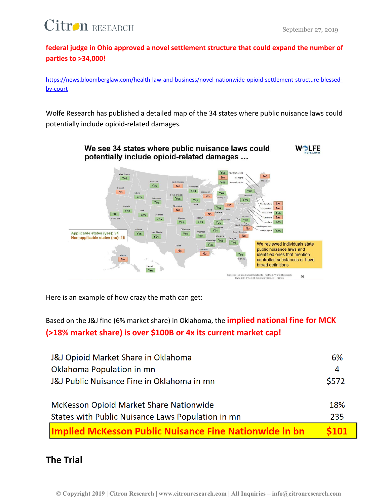

**federal judge in Ohio approved a novel settlement structure that could expand the number of parties to >34,000!**

[https://news.bloomberglaw.com/health-law-and-business/novel-nationwide-opioid-settlement-structure-blessed](https://news.bloomberglaw.com/health-law-and-business/novel-nationwide-opioid-settlement-structure-blessed-by-court)[by-court](https://news.bloomberglaw.com/health-law-and-business/novel-nationwide-opioid-settlement-structure-blessed-by-court)

Wolfe Research has published a detailed map of the 34 states where public nuisance laws could potentially include opioid-related damages.



Here is an example of how crazy the math can get:

Based on the J&J fine (6% market share) in Oklahoma, the **implied national fine for MCK (>18% market share) is over \$100B or 4x its current market cap!**

| <b>J&amp;J Opioid Market Share in Oklahoma</b>                | 6%    |
|---------------------------------------------------------------|-------|
| Oklahoma Population in mn                                     | 4     |
| J&J Public Nuisance Fine in Oklahoma in mn                    | \$572 |
|                                                               |       |
| McKesson Opioid Market Share Nationwide                       | 18%   |
| States with Public Nuisance Laws Population in mn             | 235   |
| <b>Implied McKesson Public Nuisance Fine Nationwide in bn</b> | \$101 |

#### **The Trial**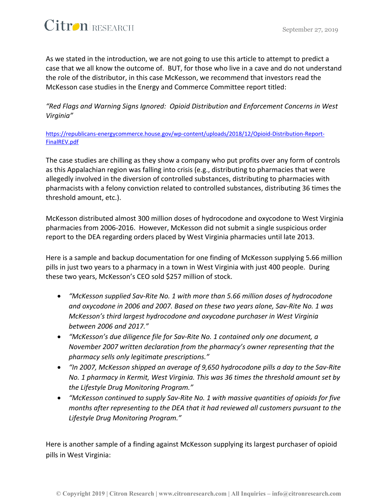

As we stated in the introduction, we are not going to use this article to attempt to predict a case that we all know the outcome of. BUT, for those who live in a cave and do not understand the role of the distributor, in this case McKesson, we recommend that investors read the McKesson case studies in the Energy and Commerce Committee report titled:

*"Red Flags and Warning Signs Ignored: Opioid Distribution and Enforcement Concerns in West Virginia"*

[https://republicans-energycommerce.house.gov/wp-content/uploads/2018/12/Opioid-Distribution-Report-](https://republicans-energycommerce.house.gov/wp-content/uploads/2018/12/Opioid-Distribution-Report-FinalREV.pdf)[FinalREV.pdf](https://republicans-energycommerce.house.gov/wp-content/uploads/2018/12/Opioid-Distribution-Report-FinalREV.pdf)

The case studies are chilling as they show a company who put profits over any form of controls as this Appalachian region was falling into crisis (e.g., distributing to pharmacies that were allegedly involved in the diversion of controlled substances, distributing to pharmacies with pharmacists with a felony conviction related to controlled substances, distributing 36 times the threshold amount, etc.).

McKesson distributed almost 300 million doses of hydrocodone and oxycodone to West Virginia pharmacies from 2006-2016. However, McKesson did not submit a single suspicious order report to the DEA regarding orders placed by West Virginia pharmacies until late 2013.

Here is a sample and backup documentation for one finding of McKesson supplying 5.66 million pills in just two years to a pharmacy in a town in West Virginia with just 400 people. During these two years, McKesson's CEO sold \$257 million of stock.

- *"McKesson supplied Sav-Rite No. 1 with more than 5.66 million doses of hydrocodone and oxycodone in 2006 and 2007. Based on these two years alone, Sav-Rite No. 1 was McKesson's third largest hydrocodone and oxycodone purchaser in West Virginia between 2006 and 2017."*
- *"McKesson's due diligence file for Sav-Rite No. 1 contained only one document, a November 2007 written declaration from the pharmacy's owner representing that the pharmacy sells only legitimate prescriptions."*
- *"In 2007, McKesson shipped an average of 9,650 hydrocodone pills a day to the Sav-Rite No. 1 pharmacy in Kermit, West Virginia. This was 36 times the threshold amount set by the Lifestyle Drug Monitoring Program."*
- *"McKesson continued to supply Sav-Rite No. 1 with massive quantities of opioids for five months after representing to the DEA that it had reviewed all customers pursuant to the Lifestyle Drug Monitoring Program."*

Here is another sample of a finding against McKesson supplying its largest purchaser of opioid pills in West Virginia: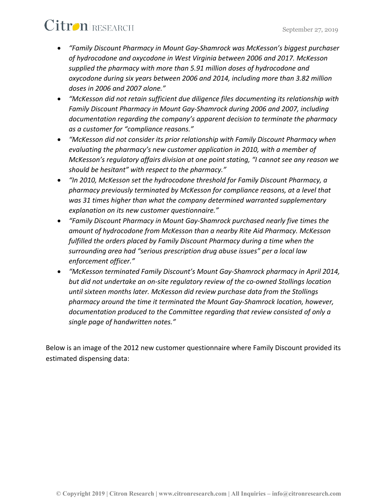- *"Family Discount Pharmacy in Mount Gay-Shamrock was McKesson's biggest purchaser of hydrocodone and oxycodone in West Virginia between 2006 and 2017. McKesson supplied the pharmacy with more than 5.91 million doses of hydrocodone and oxycodone during six years between 2006 and 2014, including more than 3.82 million doses in 2006 and 2007 alone."*
- *"McKesson did not retain sufficient due diligence files documenting its relationship with Family Discount Pharmacy in Mount Gay-Shamrock during 2006 and 2007, including documentation regarding the company's apparent decision to terminate the pharmacy as a customer for "compliance reasons."*
- *"McKesson did not consider its prior relationship with Family Discount Pharmacy when evaluating the pharmacy's new customer application in 2010, with a member of McKesson's regulatory affairs division at one point stating, "I cannot see any reason we should be hesitant" with respect to the pharmacy."*
- *"In 2010, McKesson set the hydrocodone threshold for Family Discount Pharmacy, a pharmacy previously terminated by McKesson for compliance reasons, at a level that was 31 times higher than what the company determined warranted supplementary explanation on its new customer questionnaire."*
- *"Family Discount Pharmacy in Mount Gay-Shamrock purchased nearly five times the amount of hydrocodone from McKesson than a nearby Rite Aid Pharmacy. McKesson fulfilled the orders placed by Family Discount Pharmacy during a time when the surrounding area had "serious prescription drug abuse issues" per a local law enforcement officer."*
- *"McKesson terminated Family Discount's Mount Gay-Shamrock pharmacy in April 2014, but did not undertake an on-site regulatory review of the co-owned Stollings location until sixteen months later. McKesson did review purchase data from the Stollings pharmacy around the time it terminated the Mount Gay-Shamrock location, however, documentation produced to the Committee regarding that review consisted of only a single page of handwritten notes."*

Below is an image of the 2012 new customer questionnaire where Family Discount provided its estimated dispensing data: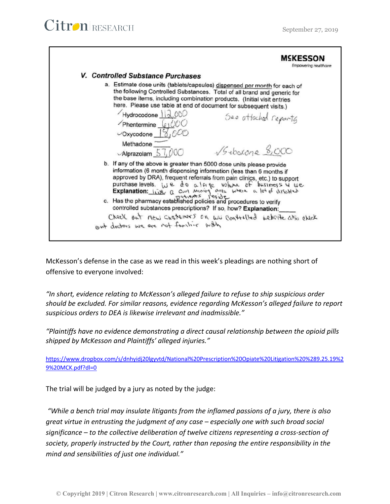

McKesson's defense in the case as we read in this week's pleadings are nothing short of offensive to everyone involved:

*"In short, evidence relating to McKesson's alleged failure to refuse to ship suspicious order should be excluded. For similar reasons, evidence regarding McKesson's alleged failure to report suspicious orders to DEA is likewise irrelevant and inadmissible."*

*"Plaintiffs have no evidence demonstrating a direct causal relationship between the opioid pills shipped by McKesson and Plaintiffs' alleged injuries."*

[https://www.dropbox.com/s/dnhyidj20lgyvtd/National%20Prescription%20Opiate%20Litigation%20%289.25.19%2](https://www.dropbox.com/s/dnhyidj20lgyvtd/National%20Prescription%20Opiate%20Litigation%20%289.25.19%29%20MCK.pdf?dl=0) [9%20MCK.pdf?dl=0](https://www.dropbox.com/s/dnhyidj20lgyvtd/National%20Prescription%20Opiate%20Litigation%20%289.25.19%29%20MCK.pdf?dl=0)

The trial will be judged by a jury as noted by the judge:

*"While a bench trial may insulate litigants from the inflamed passions of a jury, there is also great virtue in entrusting the judgment of any case – especially one with such broad social significance – to the collective deliberation of twelve citizens representing a cross-section of society, properly instructed by the Court, rather than reposing the entire responsibility in the mind and sensibilities of just one individual."*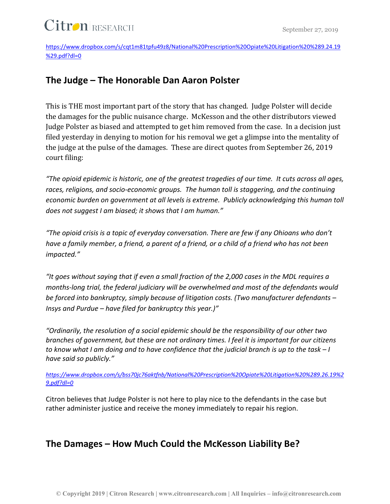[https://www.dropbox.com/s/cqt1m81tpfu49z8/National%20Prescription%20Opiate%20Litigation%20%289.24.19](https://www.dropbox.com/s/cqt1m81tpfu49z8/National%20Prescription%20Opiate%20Litigation%20%289.24.19%29.pdf?dl=0) [%29.pdf?dl=0](https://www.dropbox.com/s/cqt1m81tpfu49z8/National%20Prescription%20Opiate%20Litigation%20%289.24.19%29.pdf?dl=0)

### **The Judge – The Honorable Dan Aaron Polster**

This is THE most important part of the story that has changed. Judge Polster will decide the damages for the public nuisance charge. McKesson and the other distributors viewed Judge Polster as biased and attempted to get him removed from the case. In a decision just filed yesterday in denying to motion for his removal we get a glimpse into the mentality of the judge at the pulse of the damages. These are direct quotes from September 26, 2019 court filing:

*"The opioid epidemic is historic, one of the greatest tragedies of our time. It cuts across all ages,*  races, religions, and socio-economic groups. The human toll is staggering, and the continuing *economic burden on government at all levels is extreme. Publicly acknowledging this human toll does not suggest I am biased; it shows that I am human."*

*"The opioid crisis is a topic of everyday conversation. There are few if any Ohioans who don't have a family member, a friend, a parent of a friend, or a child of a friend who has not been impacted."*

*"It goes without saying that if even a small fraction of the 2,000 cases in the MDL requires a months-long trial, the federal judiciary will be overwhelmed and most of the defendants would be forced into bankruptcy, simply because of litigation costs. (Two manufacturer defendants – Insys and Purdue – have filed for bankruptcy this year.)"*

*"Ordinarily, the resolution of a social epidemic should be the responsibility of our other two branches of government, but these are not ordinary times. I feel it is important for our citizens to know what I am doing and to have confidence that the judicial branch is up to the task – I have said so publicly."*

*[https://www.dropbox.com/s/bss70jc76aktfnb/National%20Prescription%20Opiate%20Litigation%20%289.26.19%2](https://www.dropbox.com/s/bss70jc76aktfnb/National%20Prescription%20Opiate%20Litigation%20%289.26.19%29.pdf?dl=0) [9.pdf?dl=0](https://www.dropbox.com/s/bss70jc76aktfnb/National%20Prescription%20Opiate%20Litigation%20%289.26.19%29.pdf?dl=0)*

Citron believes that Judge Polster is not here to play nice to the defendants in the case but rather administer justice and receive the money immediately to repair his region.

### **The Damages – How Much Could the McKesson Liability Be?**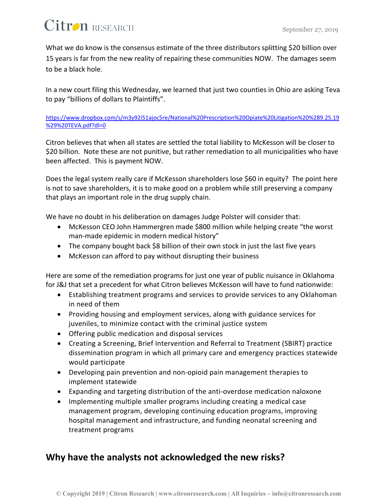What we do know is the consensus estimate of the three distributors splitting \$20 billion over 15 years is far from the new reality of repairing these communities NOW. The damages seem to be a black hole.

In a new court filing this Wednesday, we learned that just two counties in Ohio are asking Teva to pay "billions of dollars to Plaintiffs".

#### [https://www.dropbox.com/s/m3y92i51ajoc5re/National%20Prescription%20Opiate%20Litigation%20%289.25.19](https://www.dropbox.com/s/m3y92i51ajoc5re/National%20Prescription%20Opiate%20Litigation%20%289.25.19%29%20TEVA.pdf?dl=0) [%29%20TEVA.pdf?dl=0](https://www.dropbox.com/s/m3y92i51ajoc5re/National%20Prescription%20Opiate%20Litigation%20%289.25.19%29%20TEVA.pdf?dl=0)

Citron believes that when all states are settled the total liability to McKesson will be closer to \$20 billion. Note these are not punitive, but rather remediation to all municipalities who have been affected. This is payment NOW.

Does the legal system really care if McKesson shareholders lose \$60 in equity? The point here is not to save shareholders, it is to make good on a problem while still preserving a company that plays an important role in the drug supply chain.

We have no doubt in his deliberation on damages Judge Polster will consider that:

- McKesson CEO John Hammergren made \$800 million while helping create "the worst man-made epidemic in modern medical history"
- The company bought back \$8 billion of their own stock in just the last five years
- McKesson can afford to pay without disrupting their business

Here are some of the remediation programs for just one year of public nuisance in Oklahoma for J&J that set a precedent for what Citron believes McKesson will have to fund nationwide:

- Establishing treatment programs and services to provide services to any Oklahoman in need of them
- Providing housing and employment services, along with guidance services for juveniles, to minimize contact with the criminal justice system
- Offering public medication and disposal services
- Creating a Screening, Brief Intervention and Referral to Treatment (SBIRT) practice dissemination program in which all primary care and emergency practices statewide would participate
- Developing pain prevention and non-opioid pain management therapies to implement statewide
- Expanding and targeting distribution of the anti-overdose medication naloxone
- Implementing multiple smaller programs including creating a medical case management program, developing continuing education programs, improving hospital management and infrastructure, and funding neonatal screening and treatment programs

### **Why have the analysts not acknowledged the new risks?**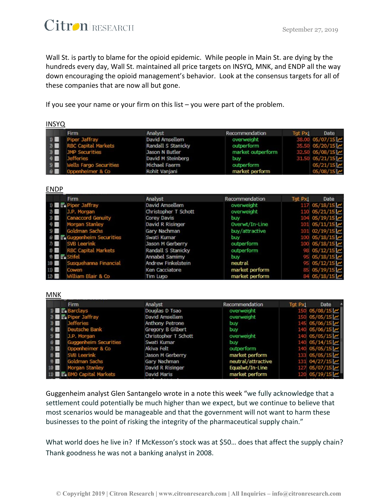

Wall St. is partly to blame for the opioid epidemic. While people in Main St. are dying by the hundreds every day, Wall St. maintained all price targets on INSYQ, MNK, and ENDP all the way down encouraging the opioid management's behavior. Look at the consensus targets for all of these companies that are now all but gone.

If you see your name or your firm on this list – you were part of the problem.

| <b>INSYU</b> |                                 |                    |                   |                |                   |
|--------------|---------------------------------|--------------------|-------------------|----------------|-------------------|
|              | Firm                            | Analyst            | Recommendation    | <b>Tgt Pxl</b> | Date              |
|              | $\n  W$ Piper Jaffray           | David Amsellem     | overweight        |                | 38.00 05/07/15    |
| 2            | <b>RBC Capital Markets</b>      | Randall S Stanicky | outperform        |                | 35.50 $05/20/15$  |
|              | 3) JMP Securities               | Jason N Butler     | market outperform |                | 32.50 05/08/15    |
|              | $\theta$   Jefferies            | David M Steinberg  | buy               |                | 31.50 $05/21/15$  |
|              | <b>5</b> Wells Fargo Securities | Michael Faerm      | outperform        |                | $05/21/15$ $\sim$ |
| $\bullet$    | Oppenheimer & Co                | Rohit Vanjani      | market perform    |                | 05/08/15          |

#### ENDP

 $INIONO$ 

|                                                  | <b>Firm</b>                  | Analyst                   | Recommendation | Tgt PxI | Date                               |
|--------------------------------------------------|------------------------------|---------------------------|----------------|---------|------------------------------------|
|                                                  |                              | David Amsellem            | overweight     |         | $117$ 05/18/15 $\sim$              |
| 2 国                                              | J.P. Morgan                  | Christopher T Schott      | overweight     |         | 110 $05/21/15$                     |
| 3) 图                                             | <b>Canaccord Genuity</b>     | <b>Corey Davis</b>        | buy            |         | $104$ 05/19/15 $\sim$              |
| 4 8                                              | Morgan Stanley               | David R Risinger          | Overwt/In-Line |         | $101$ 05/11/15 $\sim$              |
| 5) 目                                             | Goldman Sachs                | Gary Nachman              | buy/attractive |         | $101$ 02/19/15                     |
|                                                  | 6 图 Fe Guggenheim Securities | Swati Kumar               | buy            |         | $100 \left  05/18/15 \right  \sim$ |
| $\pi$                                            | <b>SVB Leerink</b>           | Jason M Gerberry          | outperform     |         | $0$ 05/18/15 $\sim$                |
| 8 圖                                              | <b>RBC Capital Markets</b>   | Randall S Stanicky        | outperform     |         | 805/12/15                          |
| $\emptyset$ $\blacksquare$ $\blacksquare$ Stifel |                              | <b>Annabel Samimy</b>     | <b>buy</b>     |         | 95 05/18/15 $\sim$                 |
| 10                                               | Susquehanna Financial        | <b>Andrew Finkelstein</b> | neutral        |         | $95 \, 05/12/15$ $\sim$            |
| 11)                                              | Cowen                        | <b>Ken Cacciatore</b>     | market perform |         | 85 05/19/15                        |
| 12 国                                             | William Blair & Co           | <b>Tim Lugo</b>           | market perform |         | 84 05/18/15                        |

#### MNK

| Firm                                     | Analyst                | Recommendation     | Tgt PxI | Date                  |
|------------------------------------------|------------------------|--------------------|---------|-----------------------|
| $\Box$ $\Box$ $\Box$ Barclays            | Douglas D Tsao         | overweight         |         | 150 05/08/15          |
| $\sqrt{2}$ <b>E</b> Piper Jaffray        | David Amsellem         | overweight         |         | 150 $05/05/15$ $\sim$ |
| <b>Jefferies</b><br>3) 圓                 | <b>Anthony Petrone</b> | buy                |         | 145 05/06/15          |
| Deutsche Bank<br>4 图                     | Gregory B Gilbert      | buy                |         | $140$ 05/06/15 $\sim$ |
| 5)<br>J.P. Morgan                        | Christopher T Schott   | overweight         |         | 05/05/15              |
| $\theta$<br><b>Guggenheim Securities</b> | Swati Kumar            | buy                |         | $05/14/15$ $\sim$     |
| Oppenheimer & Co<br>7) 图                 | Akiva Felt             | outperform         |         | 140 $05/05/15$ $\sim$ |
| 8 圆<br><b>SVB Leerink</b>                | Jason M Gerberry       | market perform     |         | 133 $05/05/15$ $\sim$ |
| Goldman Sachs<br>9 圖                     | Gary Nachman           | neutral/attractive |         | $131$ 04/27/15 $\sim$ |
| 10 图<br>Morgan Stanley                   | David R Risinger       | Equalwt/In-Line    |         | $127 \, 05/07/15$     |
| 11) <b>F.</b> BMO Capital Markets        | David Maris            | market perform     |         | $120$ 05/19/15 $\sim$ |
|                                          |                        |                    |         |                       |

Guggenheim analyst Glen Santangelo wrote in a note this week "we fully acknowledge that a settlement could potentially be much higher than we expect, but we continue to believe that most scenarios would be manageable and that the government will not want to harm these businesses to the point of risking the integrity of the pharmaceutical supply chain."

What world does he live in? If McKesson's stock was at \$50… does that affect the supply chain? Thank goodness he was not a banking analyst in 2008.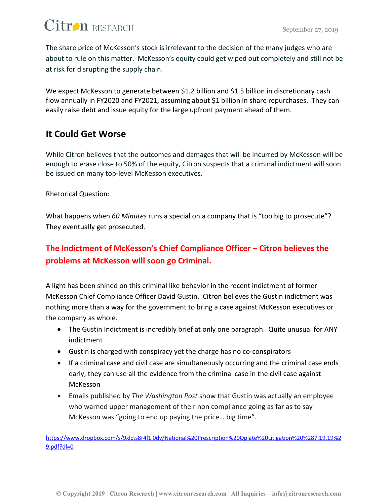The share price of McKesson's stock is irrelevant to the decision of the many judges who are about to rule on this matter. McKesson's equity could get wiped out completely and still not be at risk for disrupting the supply chain.

We expect McKesson to generate between \$1.2 billion and \$1.5 billion in discretionary cash flow annually in FY2020 and FY2021, assuming about \$1 billion in share repurchases. They can easily raise debt and issue equity for the large upfront payment ahead of them.

## **It Could Get Worse**

While Citron believes that the outcomes and damages that will be incurred by McKesson will be enough to erase close to 50% of the equity, Citron suspects that a criminal indictment will soon be issued on many top-level McKesson executives.

#### Rhetorical Question:

What happens when *60 Minutes* runs a special on a company that is "too big to prosecute"? They eventually get prosecuted.

### **The Indictment of McKesson's Chief Compliance Officer – Citron believes the problems at McKesson will soon go Criminal.**

A light has been shined on this criminal like behavior in the recent indictment of former McKesson Chief Compliance Officer David Gustin. Citron believes the Gustin indictment was nothing more than a way for the government to bring a case against McKesson executives or the company as whole.

- The Gustin Indictment is incredibly brief at only one paragraph. Quite unusual for ANY indictment
- Gustin is charged with conspiracy yet the charge has no co-conspirators
- If a criminal case and civil case are simultaneously occurring and the criminal case ends early, they can use all the evidence from the criminal case in the civil case against McKesson
- Emails published by *The Washington Post* show that Gustin was actually an employee who warned upper management of their non compliance going as far as to say McKesson was "going to end up paying the price… big time".

[https://www.dropbox.com/s/9xlcts8r4l1i0dv/National%20Prescription%20Opiate%20Litigation%20%287.19.19%2](https://www.dropbox.com/s/9xlcts8r4l1i0dv/National%20Prescription%20Opiate%20Litigation%20%287.19.19%29.pdf?dl=0) [9.pdf?dl=0](https://www.dropbox.com/s/9xlcts8r4l1i0dv/National%20Prescription%20Opiate%20Litigation%20%287.19.19%29.pdf?dl=0)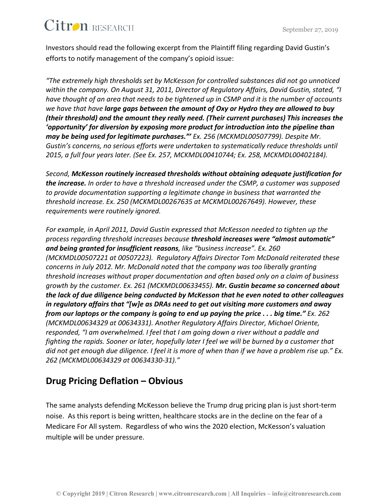Investors should read the following excerpt from the Plaintiff filing regarding David Gustin's efforts to notify management of the company's opioid issue:

*"The extremely high thresholds set by McKesson for controlled substances did not go unnoticed within the company. On August 31, 2011, Director of Regulatory Affairs, David Gustin, stated, "I have thought of an area that needs to be tightened up in CSMP and it is the number of accounts we have that have large gaps between the amount of Oxy or Hydro they are allowed to buy (their threshold) and the amount they really need. (Their current purchases) This increases the 'opportunity' for diversion by exposing more product for introduction into the pipeline than may be being used for legitimate purchases."' Ex. 256 (MCKMDL00507799). Despite Mr. Gustin's concerns, no serious efforts were undertaken to systematically reduce thresholds until 2015, a full four years later. (See Ex. 257, MCKMDL00410744; Ex. 258, MCKMDL00402184).*

*Second, McKesson routinely increased thresholds without obtaining adequate justification for the increase. In order to have a threshold increased under the CSMP, a customer was supposed to provide documentation supporting a legitimate change in business that warranted the threshold increase. Ex. 250 (MCKMDL00267635 at MCKMDL00267649). However, these requirements were routinely ignored.*

*For example, in April 2011, David Gustin expressed that McKesson needed to tighten up the process regarding threshold increases because threshold increases were "almost automatic" and being granted for insufficient reasons, like "business increase". Ex. 260 (MCKMDL00507221 at 00507223). Regulatory Affairs Director Tom McDonald reiterated these concerns in July 2012. Mr. McDonald noted that the company was too liberally granting threshold increases without proper documentation and often based only on a claim of business growth by the customer. Ex. 261 (MCKMDL00633455). Mr. Gustin became so concerned about the lack of due diligence being conducted by McKesson that he even noted to other colleagues in regulatory affairs that "[w]e as DRAs need to get out visiting more customers and away from our laptops or the company is going to end up paying the price . . . big time." Ex. 262 (MCKMDL00634329 at 00634331). Another Regulatory Affairs Director, Michael Oriente, responded, "I am overwhelmed. I feel that I am going down a river without a paddle and fighting the rapids. Sooner or later, hopefully later I feel we will be burned by a customer that did not get enough due diligence. I feel it is more of when than if we have a problem rise up." Ex. 262 (MCKMDL00634329 at 00634330-31)."*

### **Drug Pricing Deflation – Obvious**

The same analysts defending McKesson believe the Trump drug pricing plan is just short-term noise. As this report is being written, healthcare stocks are in the decline on the fear of a Medicare For All system. Regardless of who wins the 2020 election, McKesson's valuation multiple will be under pressure.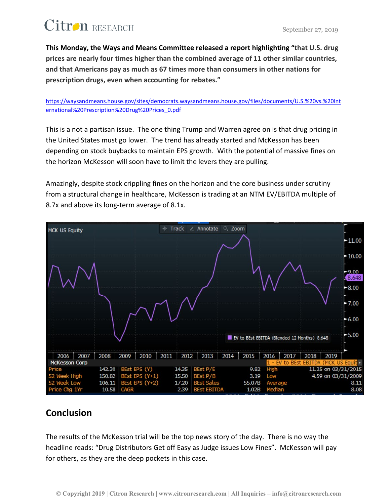**This Monday, the Ways and Means Committee released a report highlighting "that U.S. drug prices are nearly four times higher than the combined average of 11 other similar countries, and that Americans pay as much as 67 times more than consumers in other nations for prescription drugs, even when accounting for rebates."** 

[https://waysandmeans.house.gov/sites/democrats.waysandmeans.house.gov/files/documents/U.S.%20vs.%20Int](https://waysandmeans.house.gov/sites/democrats.waysandmeans.house.gov/files/documents/U.S.%20vs.%20International%20Prescription%20Drug%20Prices_0.pdf) [ernational%20Prescription%20Drug%20Prices\\_0.pdf](https://waysandmeans.house.gov/sites/democrats.waysandmeans.house.gov/files/documents/U.S.%20vs.%20International%20Prescription%20Drug%20Prices_0.pdf)

This is a not a partisan issue. The one thing Trump and Warren agree on is that drug pricing in the United States must go lower. The trend has already started and McKesson has been depending on stock buybacks to maintain EPS growth. With the potential of massive fines on the horizon McKesson will soon have to limit the levers they are pulling.

Amazingly, despite stock crippling fines on the horizon and the core business under scrutiny from a structural change in healthcare, McKesson is trading at an NTM EV/EBITDA multiple of 8.7x and above its long-term average of 8.1x.



#### **Conclusion**

The results of the McKesson trial will be the top news story of the day. There is no way the headline reads: "Drug Distributors Get off Easy as Judge issues Low Fines". McKesson will pay for others, as they are the deep pockets in this case.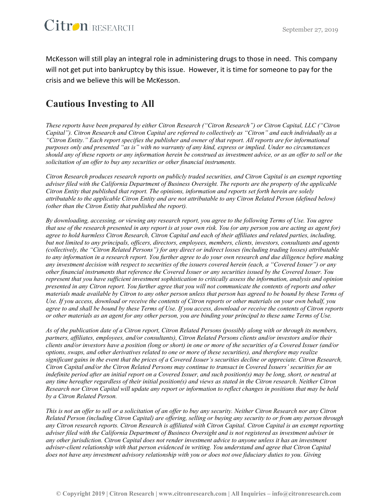McKesson will still play an integral role in administering drugs to those in need. This company will not get put into bankruptcy by this issue. However, it is time for someone to pay for the crisis and we believe this will be McKesson.

### **Cautious Investing to All**

*These reports have been prepared by either Citron Research ("Citron Research") or Citron Capital, LLC ("Citron Capital"). Citron Research and Citron Capital are referred to collectively as "Citron" and each individually as a "Citron Entity." Each report specifies the publisher and owner of that report. All reports are for informational purposes only and presented "as is" with no warranty of any kind, express or implied. Under no circumstances should any of these reports or any information herein be construed as investment advice, or as an offer to sell or the solicitation of an offer to buy any securities or other financial instruments.*

*Citron Research produces research reports on publicly traded securities, and Citron Capital is an exempt reporting adviser filed with the California Department of Business Oversight. The reports are the property of the applicable Citron Entity that published that report. The opinions, information and reports set forth herein are solely attributable to the applicable Citron Entity and are not attributable to any Citron Related Person (defined below) (other than the Citron Entity that published the report).*

*By downloading, accessing, or viewing any research report, you agree to the following Terms of Use. You agree that use of the research presented in any report is at your own risk. You (or any person you are acting as agent for) agree to hold harmless Citron Research, Citron Capital and each of their affiliates and related parties, including, but not limited to any principals, officers, directors, employees, members, clients, investors, consultants and agents (collectively, the "Citron Related Persons") for any direct or indirect losses (including trading losses) attributable to any information in a research report. You further agree to do your own research and due diligence before making any investment decision with respect to securities of the issuers covered herein (each, a "Covered Issuer") or any other financial instruments that reference the Covered Issuer or any securities issued by the Covered Issuer. You represent that you have sufficient investment sophistication to critically assess the information, analysis and opinion presented in any Citron report. You further agree that you will not communicate the contents of reports and other materials made available by Citron to any other person unless that person has agreed to be bound by these Terms of Use. If you access, download or receive the contents of Citron reports or other materials on your own behalf, you agree to and shall be bound by these Terms of Use. If you access, download or receive the contents of Citron reports or other materials as an agent for any other person, you are binding your principal to these same Terms of Use.*

*As of the publication date of a Citron report, Citron Related Persons (possibly along with or through its members, partners, affiliates, employees, and/or consultants), Citron Related Persons clients and/or investors and/or their clients and/or investors have a position (long or short) in one or more of the securities of a Covered Issuer (and/or options, swaps, and other derivatives related to one or more of these securities), and therefore may realize significant gains in the event that the prices of a Covered Issuer's securities decline or appreciate. Citron Research, Citron Capital and/or the Citron Related Persons may continue to transact in Covered Issuers' securities for an indefinite period after an initial report on a Covered Issuer, and such position(s) may be long, short, or neutral at any time hereafter regardless of their initial position(s) and views as stated in the Citron research. Neither Citron Research nor Citron Capital will update any report or information to reflect changes in positions that may be held by a Citron Related Person.*

*This is not an offer to sell or a solicitation of an offer to buy any security. Neither Citron Research nor any Citron Related Person (including Citron Capital) are offering, selling or buying any security to or from any person through any Citron research reports. Citron Research is affiliated with Citron Capital. Citron Capital is an exempt reporting adviser filed with the California Department of Business Oversight and is not registered as investment adviser in any other jurisdiction. Citron Capital does not render investment advice to anyone unless it has an investment adviser-client relationship with that person evidenced in writing. You understand and agree that Citron Capital does not have any investment advisory relationship with you or does not owe fiduciary duties to you. Giving*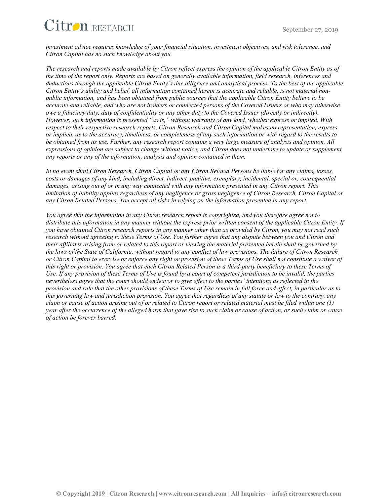

*investment advice requires knowledge of your financial situation, investment objectives, and risk tolerance, and Citron Capital has no such knowledge about you.*

*The research and reports made available by Citron reflect express the opinion of the applicable Citron Entity as of the time of the report only. Reports are based on generally available information, field research, inferences and deductions through the applicable Citron Entity's due diligence and analytical process. To the best of the applicable Citron Entity's ability and belief, all information contained herein is accurate and reliable, is not material nonpublic information, and has been obtained from public sources that the applicable Citron Entity believe to be accurate and reliable, and who are not insiders or connected persons of the Covered Issuers or who may otherwise owe a fiduciary duty, duty of confidentiality or any other duty to the Covered Issuer (directly or indirectly). However, such information is presented "as is," without warranty of any kind, whether express or implied. With respect to their respective research reports, Citron Research and Citron Capital makes no representation, express or implied, as to the accuracy, timeliness, or completeness of any such information or with regard to the results to be obtained from its use. Further, any research report contains a very large measure of analysis and opinion. All expressions of opinion are subject to change without notice, and Citron does not undertake to update or supplement any reports or any of the information, analysis and opinion contained in them.*

*In no event shall Citron Research, Citron Capital or any Citron Related Persons be liable for any claims, losses, costs or damages of any kind, including direct, indirect, punitive, exemplary, incidental, special or, consequential damages, arising out of or in any way connected with any information presented in any Citron report. This limitation of liability applies regardless of any negligence or gross negligence of Citron Research, Citron Capital or any Citron Related Persons. You accept all risks in relying on the information presented in any report.*

*You agree that the information in any Citron research report is copyrighted, and you therefore agree not to distribute this information in any manner without the express prior written consent of the applicable Citron Entity. If you have obtained Citron research reports in any manner other than as provided by Citron, you may not read such research without agreeing to these Terms of Use. You further agree that any dispute between you and Citron and their affiliates arising from or related to this report or viewing the material presented herein shall be governed by the laws of the State of California, without regard to any conflict of law provisions. The failure of Citron Research or Citron Capital to exercise or enforce any right or provision of these Terms of Use shall not constitute a waiver of this right or provision. You agree that each Citron Related Person is a third-party beneficiary to these Terms of Use. If any provision of these Terms of Use is found by a court of competent jurisdiction to be invalid, the parties nevertheless agree that the court should endeavor to give effect to the parties' intentions as reflected in the provision and rule that the other provisions of these Terms of Use remain in full force and effect, in particular as to this governing law and jurisdiction provision. You agree that regardless of any statute or law to the contrary, any claim or cause of action arising out of or related to Citron report or related material must be filed within one (1) year after the occurrence of the alleged harm that gave rise to such claim or cause of action, or such claim or cause of action be forever barred.*